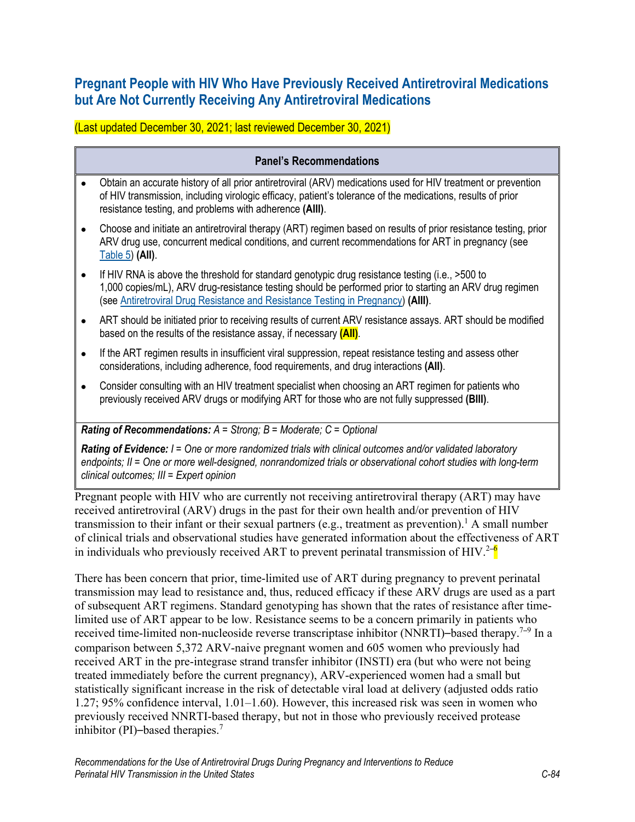## **Pregnant People with HIV Who Have Previously Received Antiretroviral Medications but Are Not Currently Receiving Any Antiretroviral Medications**

(Last updated December 30, 2021; last reviewed December 30, 2021)

## **Panel's Recommendations** • Obtain an accurate history of all prior antiretroviral (ARV) medications used for HIV treatment or prevention of HIV transmission, including virologic efficacy, patient's tolerance of the medications, results of prior resistance testing, and problems with adherence **(AIII)**. • Choose and initiate an antiretroviral therapy (ART) regimen based on results of prior resistance testing, prior ARV drug use, concurrent medical conditions, and current recommendations for ART in pregnancy (see [Table 5\)](https://clinicalinfo.hiv.gov/en/guidelines/perinatal/table-5-situation-specific-recommendations-use-antiretroviral-drugs-pregnant) **(AII)**. • If HIV RNA is above the threshold for standard genotypic drug resistance testing (i.e., >500 to 1,000 copies/mL), ARV drug-resistance testing should be performed prior to starting an ARV drug regimen (see [Antiretroviral Drug Resistance and Resistance Testing in Pregnancy\)](https://clinicalinfo.hiv.gov/en/guidelines/perinatal/antiretroviral-drug-resistance-and-resistance-testing-pregnancy) **(AIII)**. • ART should be initiated prior to receiving results of current ARV resistance assays. ART should be modified based on the results of the resistance assay, if necessary **(AII)**.

- If the ART regimen results in insufficient viral suppression, repeat resistance testing and assess other considerations, including adherence, food requirements, and drug interactions **(AII)**.
- Consider consulting with an HIV treatment specialist when choosing an ART regimen for patients who previously received ARV drugs or modifying ART for those who are not fully suppressed **(BIII)**.

## *Rating of Recommendations: A = Strong; B = Moderate; C = Optional*

*Rating of Evidence: I = One or more randomized trials with clinical outcomes and/or validated laboratory endpoints; II = One or more well-designed, nonrandomized trials or observational cohort studies with long-term clinical outcomes; III = Expert opinion*

Pregnant people with HIV who are currently not receiving antiretroviral therapy (ART) may have received antiretroviral (ARV) drugs in the past for their own health and/or prevention of HIV transmission to their infant or their sexual partners (e.g., treatment as prevention).<sup>[1](#page-3-0)</sup> A small number of clinical trials and observational studies have generated information about the effectiveness of ART in individuals who previously received ART to prevent perinatal transmission of HIV[.](#page-3-1)<sup>2-6</sup>

There has been concern that prior, time-limited use of ART during pregnancy to prevent perinatal transmission may lead to resistance and, thus, reduced efficacy if these ARV drugs are used as a part of subsequent ART regimens. Standard genotyping has shown that the rates of resistance after timelimited use of ART appear to be low. Resistance seems to be a concern primarily in patients who received time-limited non-nucleoside reverse transcriptase inhibitor (NNRTI)–based therapy.<sup>[7](#page-3-2)–9</sup> In a comparison between 5,372 ARV-naive pregnant women and 605 women who previously had received ART in the pre-integrase strand transfer inhibitor (INSTI) era (but who were not being treated immediately before the current pregnancy), ARV-experienced women had a small but statistically significant increase in the risk of detectable viral load at delivery (adjusted odds ratio 1.27; 95% confidence interval, 1.01–1.60). However, this increased risk was seen in women who previously received NNRTI-based therapy, but not in those who previously received protease inhibitor (PI)–based therapies[.](#page-3-2)<sup>7</sup>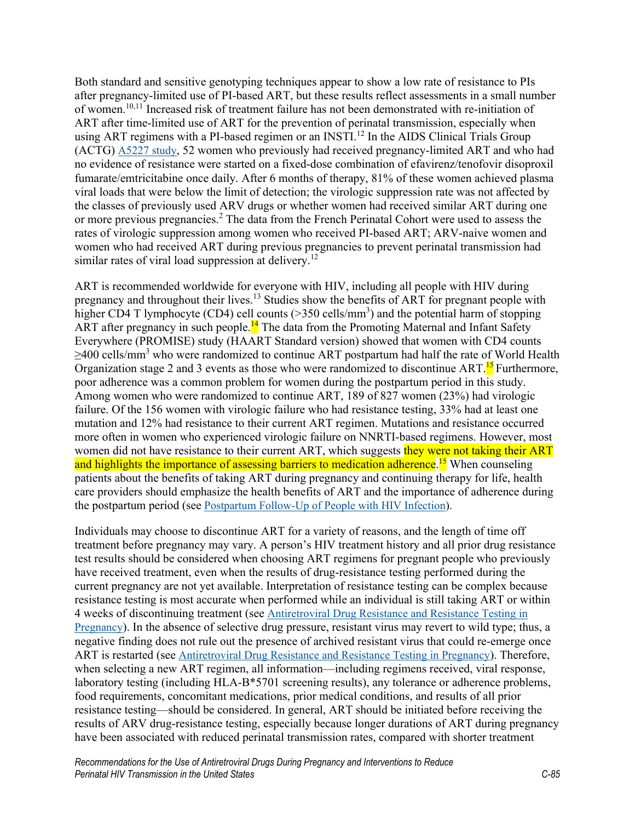Both standard and sensitive genotyping techniques appear to show a low rate of resistance to PIs after pregnancy-limited use of PI-based ART, but these results reflect assessments in a small number of women. [10,](#page-3-3)[11](#page-4-0) Increased risk of treatment failure has not been demonstrated with re-initiation of ART after time-limited use of ART for the prevention of perinatal transmission, especially when using ART regimens with a PI-based regimen or an INSTI.<sup>[12](#page-4-1)</sup> In the AIDS Clinical Trials Group (ACTG) [A5227 study,](https://clinicaltrials.gov/ct2/show/NCT00442962) 52 women who previously had received pregnancy-limited ART and who had no evidence of resistance were started on a fixed-dose combination of efavirenz/tenofovir disoproxil fumarate/emtricitabine once daily. After 6 months of therapy, 81% of these women achieved plasma viral loads that were below the limit of detection; the virologic suppression rate was not affected by the classes of previously used ARV drugs or whether women had received similar ART during one or more previous pregnancies.<sup>[2](#page-3-1)</sup> The data from the French Perinatal Cohort were used to assess the rates of virologic suppression among women who received PI-based ART; ARV-naive women and women who had received ART during previous pregnancies to prevent perinatal transmission had similar rates of viral load suppression at delivery.<sup>[12](#page-4-1)</sup>

ART is recommended worldwide for everyone with HIV, including all people with HIV during pregnancy and throughout their lives.<sup>[13](#page-4-2)</sup> Studies show the benefits of ART for pregnant people with higher CD4 T lymphocyte (CD4) cell counts ( $>$ 350 cells/mm<sup>3</sup>) and the potential harm of stopping ART after pregnancy in such people.<sup>[14](#page-4-3)</sup> The data from the Promoting Maternal and Infant Safety Everywhere (PROMISE) study (HAART Standard version) showed that women with CD4 counts  $\geq$ 400 cells/mm<sup>3</sup> who were randomized to continue ART postpartum had half the rate of World Health Organization stage 2 and 3 events as those who were randomized to discontinue ART.<sup>15</sup> Furthermore, poor adherence was a common problem for women during the postpartum period in this study. Among women who were randomized to continue ART, 189 of 827 women (23%) had virologic failure. Of the 156 women with virologic failure who had resistance testing, 33% had at least one mutation and 12% had resistance to their current ART regimen. Mutations and resistance occurred more often in women who experienced virologic failure on NNRTI-based regimens. However, most women did not have resistance to their current ART, which suggests they were not taking their ART and highlights the importance of assessing barriers to medication adherence.<sup>[15](#page-4-4)</sup> When counseling patients about the benefits of taking ART during pregnancy and continuing therapy for life, health care providers should emphasize the health benefits of ART and the importance of adherence during the postpartum period (see [Postpartum Follow-Up of People](https://clinicalinfo.hiv.gov/en/guidelines/perinatal/postpartum-follow-women-living-hiv-infection) with HIV Infection).

Individuals may choose to discontinue ART for a variety of reasons, and the length of time off treatment before pregnancy may vary. A person's HIV treatment history and all prior drug resistance test results should be considered when choosing ART regimens for pregnant people who previously have received treatment, even when the results of drug-resistance testing performed during the current pregnancy are not yet available. Interpretation of resistance testing can be complex because resistance testing is most accurate when performed while an individual is still taking ART or within 4 weeks of discontinuing treatment (see [Antiretroviral Drug Resistance and Resistance Testing in](https://clinicalinfo.hiv.gov/en/guidelines/perinatal/antiretroviral-drug-resistance-and-resistance-testing-pregnancy)  [Pregnancy\)](https://clinicalinfo.hiv.gov/en/guidelines/perinatal/antiretroviral-drug-resistance-and-resistance-testing-pregnancy). In the absence of selective drug pressure, resistant virus may revert to wild type; thus, a negative finding does not rule out the presence of archived resistant virus that could re-emerge once ART is restarted (see [Antiretroviral Drug Resistance and Resistance Testing in Pregnancy\)](https://clinicalinfo.hiv.gov/en/guidelines/perinatal/antiretroviral-drug-resistance-and-resistance-testing-pregnancy). Therefore, when selecting a new ART regimen, all information—including regimens received, viral response, laboratory testing (including HLA-B\*5701 screening results), any tolerance or adherence problems, food requirements, concomitant medications, prior medical conditions, and results of all prior resistance testing—should be considered. In general, ART should be initiated before receiving the results of ARV drug-resistance testing, especially because longer durations of ART during pregnancy have been associated with reduced perinatal transmission rates, compared with shorter treatment

*Recommendations for the Use of Antiretroviral Drugs During Pregnancy and Interventions to Reduce Perinatal HIV Transmission in the United States C-85*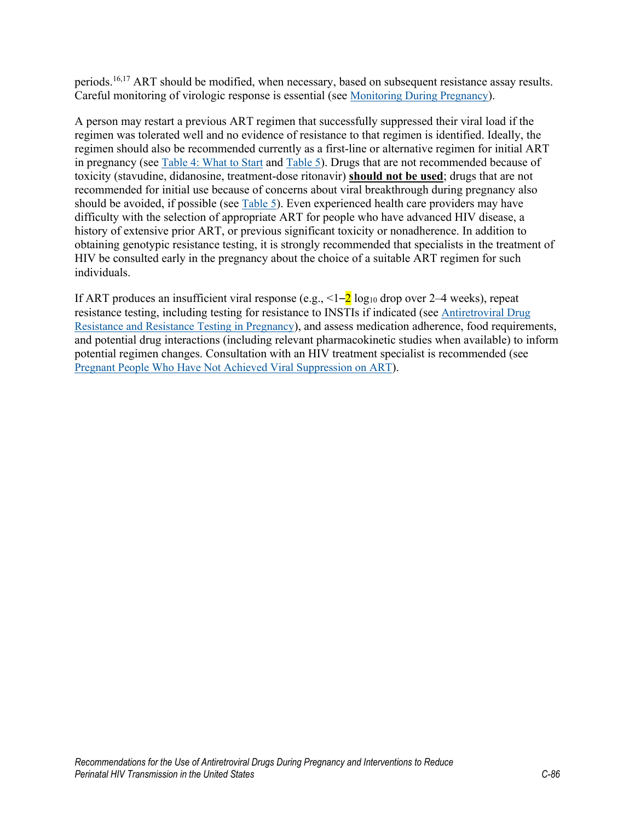periods.<sup>[16](#page-4-5)[,17](#page-4-6)</sup> ART should be modified, when necessary, based on subsequent resistance assay results. Careful monitoring of virologic response is essential (see Monitoring [During Pregnancy\)](https://clinicalinfo.hiv.gov/en/guidelines/perinatal/monitoring-woman-and-fetus-during-pregnancy).

A person may restart a previous ART regimen that successfully suppressed their viral load if the regimen was tolerated well and no evidence of resistance to that regimen is identified. Ideally, the regimen should also be recommended currently as a first-line or alternative regimen for initial ART in pregnancy (see [Table 4: What to Start](https://clinicalinfo.hiv.gov/en/guidelines/perinatal/table-4-what-start-initial-combination-regimens-antiretroviral-naive-pregnant) and [Table 5\)](https://clinicalinfo.hiv.gov/en/guidelines/perinatal/table-5-situation-specific-recommendations-use-antiretroviral-drugs-pregnant). Drugs that are not recommended because of toxicity (stavudine, didanosine, treatment-dose ritonavir) **should not be used**; drugs that are not recommended for initial use because of concerns about viral breakthrough during pregnancy also should be avoided, if possible (see [Table 5\)](https://clinicalinfo.hiv.gov/en/guidelines/perinatal/table-5-situation-specific-recommendations-use-antiretroviral-drugs-pregnant). Even experienced health care providers may have difficulty with the selection of appropriate ART for people who have advanced HIV disease, a history of extensive prior ART, or previous significant toxicity or nonadherence. In addition to obtaining genotypic resistance testing, it is strongly recommended that specialists in the treatment of HIV be consulted early in the pregnancy about the choice of a suitable ART regimen for such individuals.

If ART produces an insufficient viral response (e.g.,  $\leq 1-2 \log_{10}$  drop over 2–4 weeks), repeat resistance testing, including testing for resistance to INSTIs if indicated (see [Antiretroviral Drug](https://clinicalinfo.hiv.gov/en/guidelines/perinatal/antiretroviral-drug-resistance-and-resistance-testing-pregnancy)  [Resistance and Resistance Testing in Pregnancy\)](https://clinicalinfo.hiv.gov/en/guidelines/perinatal/antiretroviral-drug-resistance-and-resistance-testing-pregnancy), and assess medication adherence, food requirements, and potential drug interactions (including relevant pharmacokinetic studies when available) to inform potential regimen changes. Consultation with an HIV treatment specialist is recommended (see Pregnant People [Who Have Not Achieved Viral Suppression on ART\)](https://clinicalinfo.hiv.gov/en/guidelines/perinatal/lack-viral-suppression?view=full).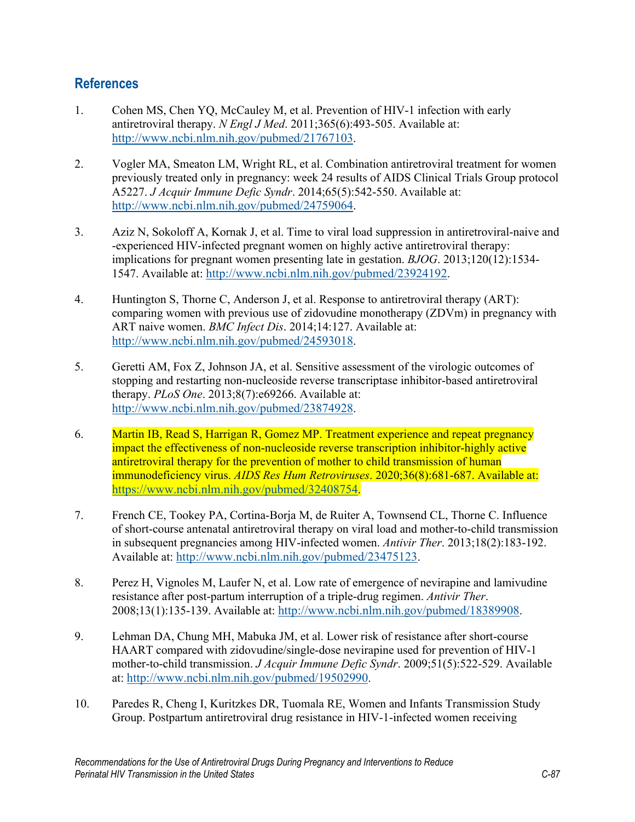## **References**

- <span id="page-3-0"></span>1. Cohen MS, Chen YQ, McCauley M, et al. Prevention of HIV-1 infection with early antiretroviral therapy. *N Engl J Med*. 2011;365(6):493-505. Available at: [http://www.ncbi.nlm.nih.gov/pubmed/21767103.](http://www.ncbi.nlm.nih.gov/pubmed/21767103)
- <span id="page-3-1"></span>2. Vogler MA, Smeaton LM, Wright RL, et al. Combination antiretroviral treatment for women previously treated only in pregnancy: week 24 results of AIDS Clinical Trials Group protocol A5227. *J Acquir Immune Defic Syndr*. 2014;65(5):542-550. Available at: [http://www.ncbi.nlm.nih.gov/pubmed/24759064.](http://www.ncbi.nlm.nih.gov/pubmed/24759064)
- 3. Aziz N, Sokoloff A, Kornak J, et al. Time to viral load suppression in antiretroviral-naive and -experienced HIV-infected pregnant women on highly active antiretroviral therapy: implications for pregnant women presenting late in gestation. *BJOG*. 2013;120(12):1534- 1547. Available at: [http://www.ncbi.nlm.nih.gov/pubmed/23924192.](http://www.ncbi.nlm.nih.gov/pubmed/23924192)
- 4. Huntington S, Thorne C, Anderson J, et al. Response to antiretroviral therapy (ART): comparing women with previous use of zidovudine monotherapy (ZDVm) in pregnancy with ART naive women. *BMC Infect Dis*. 2014;14:127. Available at: [http://www.ncbi.nlm.nih.gov/pubmed/24593018.](http://www.ncbi.nlm.nih.gov/pubmed/24593018)
- 5. Geretti AM, Fox Z, Johnson JA, et al. Sensitive assessment of the virologic outcomes of stopping and restarting non-nucleoside reverse transcriptase inhibitor-based antiretroviral therapy. *PLoS One*. 2013;8(7):e69266. Available at: [http://www.ncbi.nlm.nih.gov/pubmed/23874928.](http://www.ncbi.nlm.nih.gov/pubmed/23874928)
- 6. Martin IB, Read S, Harrigan R, Gomez MP. Treatment experience and repeat pregnancy impact the effectiveness of non-nucleoside reverse transcription inhibitor-highly active antiretroviral therapy for the prevention of mother to child transmission of human immunodeficiency virus. *AIDS Res Hum Retroviruses*. 2020;36(8):681-687. Available at: [https://www.ncbi.nlm.nih.gov/pubmed/32408754.](https://www.ncbi.nlm.nih.gov/pubmed/32408754)
- <span id="page-3-2"></span>7. French CE, Tookey PA, Cortina-Borja M, de Ruiter A, Townsend CL, Thorne C. Influence of short-course antenatal antiretroviral therapy on viral load and mother-to-child transmission in subsequent pregnancies among HIV-infected women. *Antivir Ther*. 2013;18(2):183-192. Available at: [http://www.ncbi.nlm.nih.gov/pubmed/23475123.](http://www.ncbi.nlm.nih.gov/pubmed/23475123)
- 8. Perez H, Vignoles M, Laufer N, et al. Low rate of emergence of nevirapine and lamivudine resistance after post-partum interruption of a triple-drug regimen. *Antivir Ther*. 2008;13(1):135-139. Available at: [http://www.ncbi.nlm.nih.gov/pubmed/18389908.](http://www.ncbi.nlm.nih.gov/pubmed/18389908)
- 9. Lehman DA, Chung MH, Mabuka JM, et al. Lower risk of resistance after short-course HAART compared with zidovudine/single-dose nevirapine used for prevention of HIV-1 mother-to-child transmission. *J Acquir Immune Defic Syndr*. 2009;51(5):522-529. Available at: [http://www.ncbi.nlm.nih.gov/pubmed/19502990.](http://www.ncbi.nlm.nih.gov/pubmed/19502990)
- <span id="page-3-3"></span>10. Paredes R, Cheng I, Kuritzkes DR, Tuomala RE, Women and Infants Transmission Study Group. Postpartum antiretroviral drug resistance in HIV-1-infected women receiving